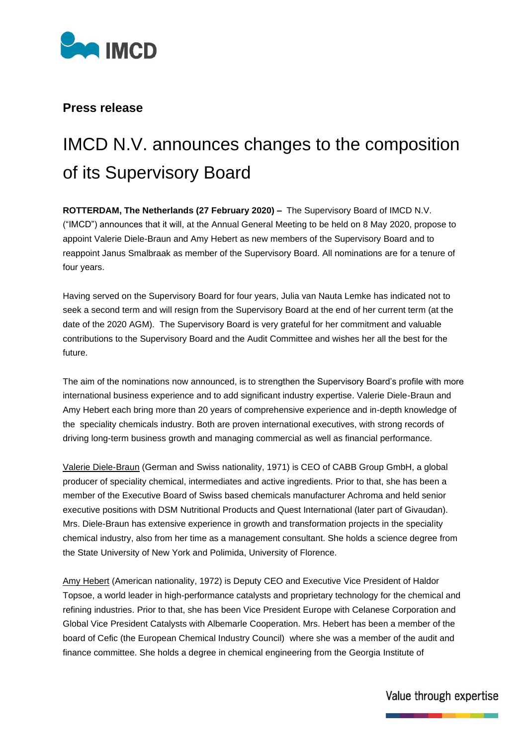

## **Press release**

## IMCD N.V. announces changes to the composition of its Supervisory Board

**ROTTERDAM, The Netherlands (27 February 2020) –** The Supervisory Board of IMCD N.V. ("IMCD") announces that it will, at the Annual General Meeting to be held on 8 May 2020, propose to appoint Valerie Diele-Braun and Amy Hebert as new members of the Supervisory Board and to reappoint Janus Smalbraak as member of the Supervisory Board. All nominations are for a tenure of four years.

Having served on the Supervisory Board for four years, Julia van Nauta Lemke has indicated not to seek a second term and will resign from the Supervisory Board at the end of her current term (at the date of the 2020 AGM). The Supervisory Board is very grateful for her commitment and valuable contributions to the Supervisory Board and the Audit Committee and wishes her all the best for the future.

The aim of the nominations now announced, is to strengthen the Supervisory Board's profile with more international business experience and to add significant industry expertise. Valerie Diele-Braun and Amy Hebert each bring more than 20 years of comprehensive experience and in-depth knowledge of the speciality chemicals industry. Both are proven international executives, with strong records of driving long-term business growth and managing commercial as well as financial performance.

Valerie Diele-Braun (German and Swiss nationality, 1971) is CEO of CABB Group GmbH, a global producer of speciality chemical, intermediates and active ingredients. Prior to that, she has been a member of the Executive Board of Swiss based chemicals manufacturer Achroma and held senior executive positions with DSM Nutritional Products and Quest International (later part of Givaudan). Mrs. Diele-Braun has extensive experience in growth and transformation projects in the speciality chemical industry, also from her time as a management consultant. She holds a science degree from the State University of New York and Polimida, University of Florence.

Amy Hebert (American nationality, 1972) is Deputy CEO and Executive Vice President of Haldor Topsoe, a world leader in high-performance catalysts and proprietary technology for the chemical and refining industries. Prior to that, she has been Vice President Europe with Celanese Corporation and Global Vice President Catalysts with Albemarle Cooperation. Mrs. Hebert has been a member of the board of Cefic (the European Chemical Industry Council) where she was a member of the audit and finance committee. She holds a degree in chemical engineering from the Georgia Institute of

## Value through expertise